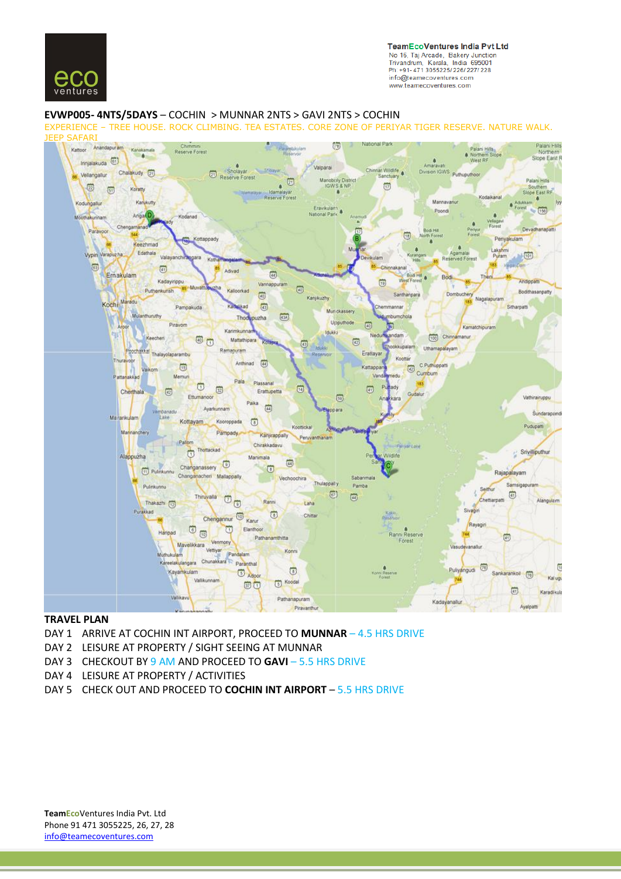

**TeamEcoVentures India Pvt Ltd** No 16, Taj Arcade, Bakery Junction<br>Trivandrum, Kerala, India 695001 Ph: +91-471 3055225/226/227/228 info@teamecoventures.com www.teamecoventures.com

#### **EVWP005- 4NTS/5DAYS** – COCHIN > MUNNAR 2NTS > GAVI 2NTS > COCHIN

EXPERIENCE – TREE HOUSE. ROCK CLIMBING. TEA ESTATES. CORE ZONE OF PERIYAR TIGER RESERVE. NATURE WALK. JEEP SAFARI



#### **TRAVEL PLAN**

- DAY 1 ARRIVE AT COCHIN INT AIRPORT, PROCEED TO **MUNNAR** 4.5 HRS DRIVE
- DAY 2 LEISURE AT PROPERTY / SIGHT SEEING AT MUNNAR
- DAY 3 CHECKOUT BY 9 AM AND PROCEED TO **GAVI** 5.5 HRS DRIVE
- DAY 4 LEISURE AT PROPERTY / ACTIVITIES
- DAY 5 CHECK OUT AND PROCEED TO **COCHIN INT AIRPORT** 5.5 HRS DRIVE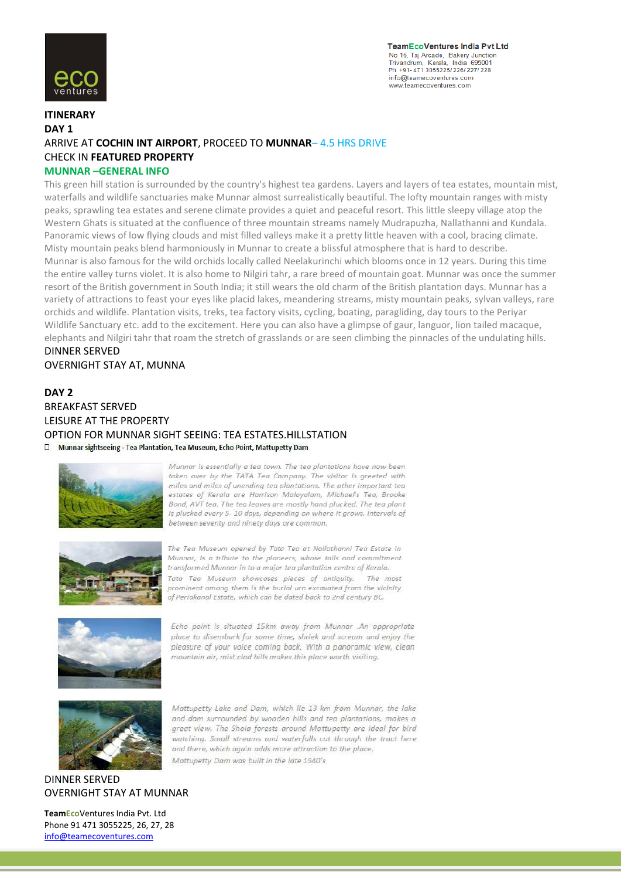

**TeamEcoVentures India Pvt Ltd** No 16, Taj Arcade, Bakery Junction<br>Trivandrum, Kerala, India 695001 Ph: +91-471 3055225/226/227/228 info@teamecoventures.com www.teamecoventures.com

# **ITINERARY DAY 1** ARRIVE AT **COCHIN INT AIRPORT**, PROCEED TO **MUNNAR**– 4.5 HRS DRIVE CHECK IN **FEATURED PROPERTY MUNNAR –GENERAL INFO**

This green hill station is surrounded by the country's highest tea gardens. Layers and layers of tea estates, mountain mist, waterfalls and wildlife sanctuaries make Munnar almost surrealistically beautiful. The lofty mountain ranges with misty peaks, sprawling tea estates and serene climate provides a quiet and peaceful resort. This little sleepy village atop the Western Ghats is situated at the confluence of three mountain streams namely Mudrapuzha, Nallathanni and Kundala. Panoramic views of low flying clouds and mist filled valleys make it a pretty little heaven with a cool, bracing climate. Misty mountain peaks blend harmoniously in Munnar to create a blissful atmosphere that is hard to describe. Munnar is also famous for the wild orchids locally called Neelakurinchi which blooms once in 12 years. During this time the entire valley turns violet. It is also home to Nilgiri tahr, a rare breed of mountain goat. Munnar was once the summer resort of the British government in South India; it still wears the old charm of the British plantation days. Munnar has a variety of attractions to feast your eyes like placid lakes, meandering streams, misty mountain peaks, sylvan valleys, rare orchids and wildlife. Plantation visits, treks, tea factory visits, cycling, boating, paragliding, day tours to the Periyar Wildlife Sanctuary etc. add to the excitement. Here you can also have a glimpse of gaur, languor, lion tailed macaque, elephants and Nilgiri tahr that roam the stretch of grasslands or are seen climbing the pinnacles of the undulating hills. DINNER SERVED

OVERNIGHT STAY AT, MUNNA

# **DAY 2** BREAKFAST SERVED LEISURE AT THE PROPERTY OPTION FOR MUNNAR SIGHT SEEING: TEA ESTATES.HILLSTATION

D Munnar sightseeing - Tea Plantation, Tea Museum, Echo Point, Mattupetty Dam



Munnar is essentially a tea town. The tea plantations have now been taken over by the TATA Tea Company. The visitor is greeted with miles and miles of unending tea plantations. The other important tea estates of Kerala are Harrison Malayalam, Michael's Tea, Brooke Bond, AVT tea. The tea leaves are mostly hand plucked. The tea plant is plucked every 5-10 days, depending on where it grows. Intervals of between seventy and ninety days are common.



The Tea Museum opened by Tata Tea at Nallathanni Tea Estate in Munnar, is a tribute to the pioneers, whose toils and commitment transformed Munnar in to a major tea plantation centre of Kerala. Tata Tea Museum showcases pleces of antiquity. The most prominent among them is the burial urn excavated from the vicinity of Periakanal Estate, which can be dated back to 2nd century BC.



Echo point is situated 15km away from Munnar .An appropriate place to disembark for some time, shriek and scream and enjoy the pleasure of your voice coming back. With a panoramic view, clean mountain air, mist clad hills makes this place worth visiting.



Mattupetty Lake and Dam, which lie 13 km from Munnar, the lake and dam surrounded by wooden hills and tea plantations, makes a great view. The Shola forests around Mattupetty are ideal for bird watching. Small streams and waterfalls cut through the tract here and there, which again adds more attraction to the place. Mattupetty Dam was built in the late 1940's

# DINNER SERVED OVERNIGHT STAY AT MUNNAR

**TeamEco**Ventures India Pvt. Ltd Phone 91 471 3055225, 26, 27, 28 info@teamecoventures.com